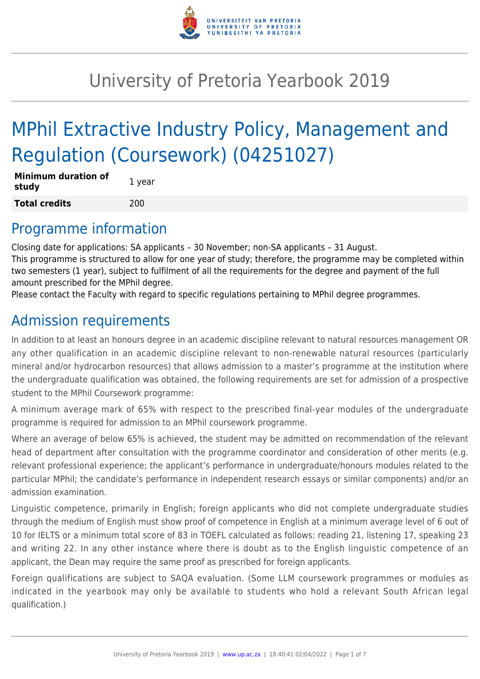

# University of Pretoria Yearbook 2019

# MPhil Extractive Industry Policy, Management and Regulation (Coursework) (04251027)

| <b>Minimum duration of</b><br>study | 1 year |
|-------------------------------------|--------|
| <b>Total credits</b>                | 200    |

# Programme information

Closing date for applications: SA applicants – 30 November; non-SA applicants – 31 August. This programme is structured to allow for one year of study; therefore, the programme may be completed within two semesters (1 year), subject to fulfilment of all the requirements for the degree and payment of the full amount prescribed for the MPhil degree.

Please contact the Faculty with regard to specific regulations pertaining to MPhil degree programmes.

# Admission requirements

In addition to at least an honours degree in an academic discipline relevant to natural resources management OR any other qualification in an academic discipline relevant to non-renewable natural resources (particularly mineral and/or hydrocarbon resources) that allows admission to a master's programme at the institution where the undergraduate qualification was obtained, the following requirements are set for admission of a prospective student to the MPhil Coursework programme:

A minimum average mark of 65% with respect to the prescribed final-year modules of the undergraduate programme is required for admission to an MPhil coursework programme.

Where an average of below 65% is achieved, the student may be admitted on recommendation of the relevant head of department after consultation with the programme coordinator and consideration of other merits (e.g. relevant professional experience; the applicant's performance in undergraduate/honours modules related to the particular MPhil; the candidate's performance in independent research essays or similar components) and/or an admission examination.

Linguistic competence, primarily in English; foreign applicants who did not complete undergraduate studies through the medium of English must show proof of competence in English at a minimum average level of 6 out of 10 for IELTS or a minimum total score of 83 in TOEFL calculated as follows: reading 21, listening 17, speaking 23 and writing 22. In any other instance where there is doubt as to the English linguistic competence of an applicant, the Dean may require the same proof as prescribed for foreign applicants.

Foreign qualifications are subject to SAQA evaluation. (Some LLM coursework programmes or modules as indicated in the yearbook may only be available to students who hold a relevant South African legal qualification.)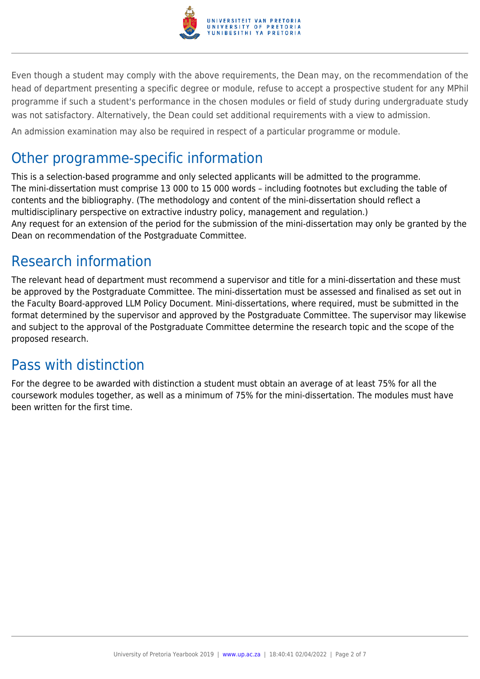

Even though a student may comply with the above requirements, the Dean may, on the recommendation of the head of department presenting a specific degree or module, refuse to accept a prospective student for any MPhil programme if such a student's performance in the chosen modules or field of study during undergraduate study was not satisfactory. Alternatively, the Dean could set additional requirements with a view to admission.

An admission examination may also be required in respect of a particular programme or module.

# Other programme-specific information

This is a selection-based programme and only selected applicants will be admitted to the programme. The mini-dissertation must comprise 13 000 to 15 000 words – including footnotes but excluding the table of contents and the bibliography. (The methodology and content of the mini-dissertation should reflect a multidisciplinary perspective on extractive industry policy, management and regulation.) Any request for an extension of the period for the submission of the mini-dissertation may only be granted by the Dean on recommendation of the Postgraduate Committee.

# Research information

The relevant head of department must recommend a supervisor and title for a mini-dissertation and these must be approved by the Postgraduate Committee. The mini-dissertation must be assessed and finalised as set out in the Faculty Board-approved LLM Policy Document. Mini-dissertations, where required, must be submitted in the format determined by the supervisor and approved by the Postgraduate Committee. The supervisor may likewise and subject to the approval of the Postgraduate Committee determine the research topic and the scope of the proposed research.

# Pass with distinction

For the degree to be awarded with distinction a student must obtain an average of at least 75% for all the coursework modules together, as well as a minimum of 75% for the mini-dissertation. The modules must have been written for the first time.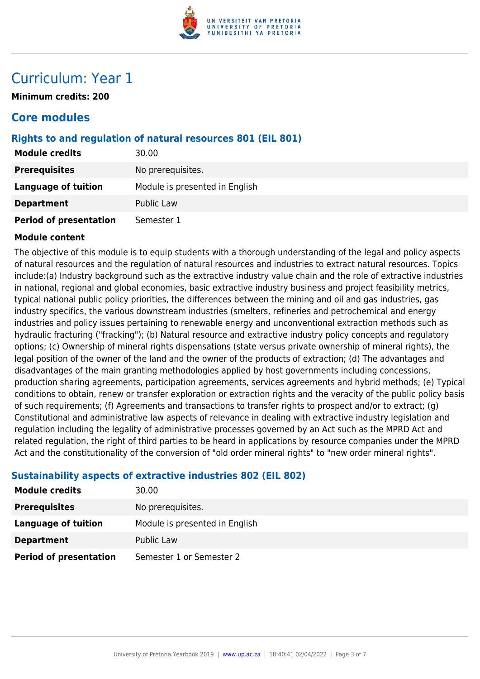

# Curriculum: Year 1

**Minimum credits: 200**

# **Core modules**

## **Rights to and regulation of natural resources 801 (EIL 801)**

| <b>Module credits</b>         | 30.00                          |
|-------------------------------|--------------------------------|
| <b>Prerequisites</b>          | No prerequisites.              |
| <b>Language of tuition</b>    | Module is presented in English |
| <b>Department</b>             | <b>Public Law</b>              |
| <b>Period of presentation</b> | Semester 1                     |

### **Module content**

The objective of this module is to equip students with a thorough understanding of the legal and policy aspects of natural resources and the regulation of natural resources and industries to extract natural resources. Topics include:(a) Industry background such as the extractive industry value chain and the role of extractive industries in national, regional and global economies, basic extractive industry business and project feasibility metrics, typical national public policy priorities, the differences between the mining and oil and gas industries, gas industry specifics, the various downstream industries (smelters, refineries and petrochemical and energy industries and policy issues pertaining to renewable energy and unconventional extraction methods such as hydraulic fracturing ("fracking"); (b) Natural resource and extractive industry policy concepts and regulatory options; (c) Ownership of mineral rights dispensations (state versus private ownership of mineral rights), the legal position of the owner of the land and the owner of the products of extraction; (d) The advantages and disadvantages of the main granting methodologies applied by host governments including concessions, production sharing agreements, participation agreements, services agreements and hybrid methods; (e) Typical conditions to obtain, renew or transfer exploration or extraction rights and the veracity of the public policy basis of such requirements; (f) Agreements and transactions to transfer rights to prospect and/or to extract; (g) Constitutional and administrative law aspects of relevance in dealing with extractive industry legislation and regulation including the legality of administrative processes governed by an Act such as the MPRD Act and related regulation, the right of third parties to be heard in applications by resource companies under the MPRD Act and the constitutionality of the conversion of "old order mineral rights" to "new order mineral rights".

# **Sustainability aspects of extractive industries 802 (EIL 802)**

| <b>Module credits</b>         | 30.00                          |
|-------------------------------|--------------------------------|
| <b>Prerequisites</b>          | No prerequisites.              |
| Language of tuition           | Module is presented in English |
| <b>Department</b>             | Public Law                     |
| <b>Period of presentation</b> | Semester 1 or Semester 2       |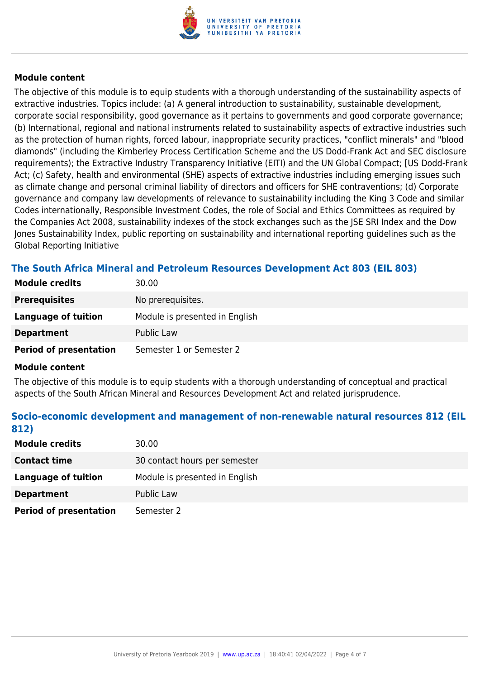

### **Module content**

The objective of this module is to equip students with a thorough understanding of the sustainability aspects of extractive industries. Topics include: (a) A general introduction to sustainability, sustainable development, corporate social responsibility, good governance as it pertains to governments and good corporate governance; (b) International, regional and national instruments related to sustainability aspects of extractive industries such as the protection of human rights, forced labour, inappropriate security practices, "conflict minerals" and "blood diamonds" (including the Kimberley Process Certification Scheme and the US Dodd-Frank Act and SEC disclosure requirements); the Extractive Industry Transparency Initiative (EITI) and the UN Global Compact; [US Dodd-Frank Act; (c) Safety, health and environmental (SHE) aspects of extractive industries including emerging issues such as climate change and personal criminal liability of directors and officers for SHE contraventions; (d) Corporate governance and company law developments of relevance to sustainability including the King 3 Code and similar Codes internationally, Responsible Investment Codes, the role of Social and Ethics Committees as required by the Companies Act 2008, sustainability indexes of the stock exchanges such as the JSE SRI Index and the Dow Jones Sustainability Index, public reporting on sustainability and international reporting guidelines such as the Global Reporting Initiative

# **The South Africa Mineral and Petroleum Resources Development Act 803 (EIL 803)**

| <b>Module credits</b>         | 30.00                          |
|-------------------------------|--------------------------------|
| <b>Prerequisites</b>          | No prerequisites.              |
| Language of tuition           | Module is presented in English |
| <b>Department</b>             | Public Law                     |
| <b>Period of presentation</b> | Semester 1 or Semester 2       |

### **Module content**

The objective of this module is to equip students with a thorough understanding of conceptual and practical aspects of the South African Mineral and Resources Development Act and related jurisprudence.

# **Socio-economic development and management of non-renewable natural resources 812 (EIL 812)**

| <b>Module credits</b>         | 30.00                          |
|-------------------------------|--------------------------------|
| <b>Contact time</b>           | 30 contact hours per semester  |
| Language of tuition           | Module is presented in English |
| <b>Department</b>             | Public Law                     |
| <b>Period of presentation</b> | Semester 2                     |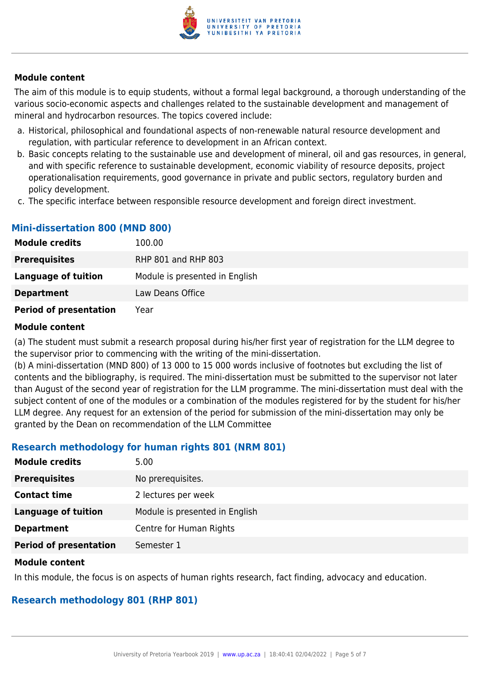

### **Module content**

The aim of this module is to equip students, without a formal legal background, a thorough understanding of the various socio-economic aspects and challenges related to the sustainable development and management of mineral and hydrocarbon resources. The topics covered include:

- a. Historical, philosophical and foundational aspects of non-renewable natural resource development and regulation, with particular reference to development in an African context.
- b. Basic concepts relating to the sustainable use and development of mineral, oil and gas resources, in general, and with specific reference to sustainable development, economic viability of resource deposits, project operationalisation requirements, good governance in private and public sectors, regulatory burden and policy development.
- c. The specific interface between responsible resource development and foreign direct investment.

# **Mini-dissertation 800 (MND 800)**

| <b>Module credits</b>         | 100.00                         |
|-------------------------------|--------------------------------|
| <b>Prerequisites</b>          | RHP 801 and RHP 803            |
| Language of tuition           | Module is presented in English |
| <b>Department</b>             | Law Deans Office               |
| <b>Period of presentation</b> | Year                           |

#### **Module content**

(a) The student must submit a research proposal during his/her first year of registration for the LLM degree to the supervisor prior to commencing with the writing of the mini-dissertation.

(b) A mini-dissertation (MND 800) of 13 000 to 15 000 words inclusive of footnotes but excluding the list of contents and the bibliography, is required. The mini-dissertation must be submitted to the supervisor not later than August of the second year of registration for the LLM programme. The mini-dissertation must deal with the subject content of one of the modules or a combination of the modules registered for by the student for his/her LLM degree. Any request for an extension of the period for submission of the mini-dissertation may only be granted by the Dean on recommendation of the LLM Committee

# **Research methodology for human rights 801 (NRM 801)**

| <b>Module credits</b>         | 5.00                           |
|-------------------------------|--------------------------------|
| <b>Prerequisites</b>          | No prerequisites.              |
| <b>Contact time</b>           | 2 lectures per week            |
| Language of tuition           | Module is presented in English |
| <b>Department</b>             | Centre for Human Rights        |
| <b>Period of presentation</b> | Semester 1                     |

### **Module content**

In this module, the focus is on aspects of human rights research, fact finding, advocacy and education.

# **Research methodology 801 (RHP 801)**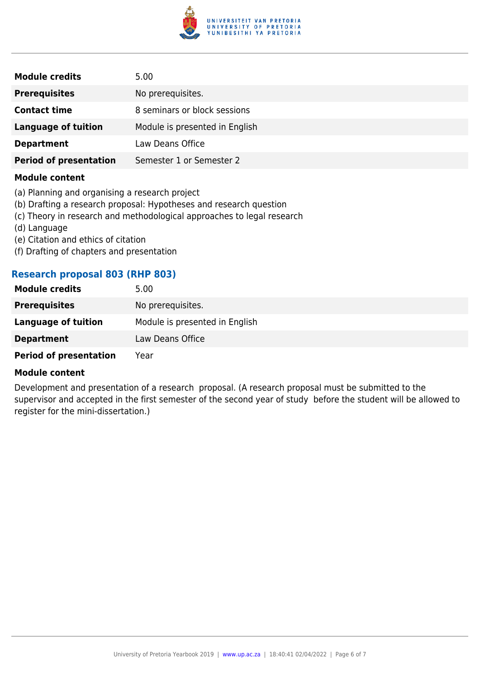

| <b>Module credits</b>         | 5.00                           |
|-------------------------------|--------------------------------|
| <b>Prerequisites</b>          | No prerequisites.              |
| <b>Contact time</b>           | 8 seminars or block sessions   |
| Language of tuition           | Module is presented in English |
| <b>Department</b>             | Law Deans Office               |
| <b>Period of presentation</b> | Semester 1 or Semester 2       |

#### **Module content**

- (a) Planning and organising a research project
- (b) Drafting a research proposal: Hypotheses and research question
- (c) Theory in research and methodological approaches to legal research
- (d) Language
- (e) Citation and ethics of citation
- (f) Drafting of chapters and presentation

### **Research proposal 803 (RHP 803)**

| <b>Module credits</b>         | 5.00                           |
|-------------------------------|--------------------------------|
| <b>Prerequisites</b>          | No prerequisites.              |
| Language of tuition           | Module is presented in English |
| <b>Department</b>             | Law Deans Office               |
| <b>Period of presentation</b> | Year                           |

#### **Module content**

Development and presentation of a research proposal. (A research proposal must be submitted to the supervisor and accepted in the first semester of the second year of study before the student will be allowed to register for the mini-dissertation.)